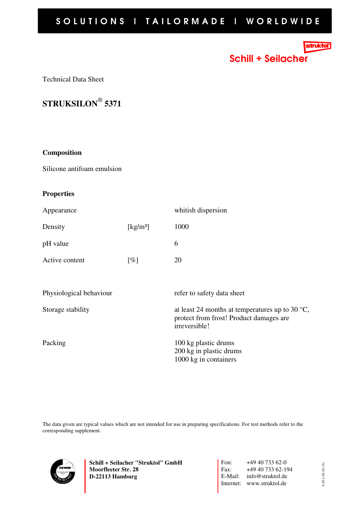## truktoľ

Schill + Seilacher

Technical Data Sheet



## **Composition**

Silicone antifoam emulsion

## **Properties**

| Appearance              |                                | whitish dispersion                                                                                                   |
|-------------------------|--------------------------------|----------------------------------------------------------------------------------------------------------------------|
| Density                 | $\left[\mathrm{kg/m^3}\right]$ | 1000                                                                                                                 |
| pH value                |                                | 6                                                                                                                    |
| Active content          | $\lceil \% \rceil$             | 20                                                                                                                   |
|                         |                                |                                                                                                                      |
| Physiological behaviour |                                | refer to safety data sheet                                                                                           |
| Storage stability       |                                | at least 24 months at temperatures up to 30 $\degree$ C,<br>protect from frost! Product damages are<br>irreversible! |
| Packing                 |                                | 100 kg plastic drums<br>200 kg in plastic drums<br>1000 kg in containers                                             |

The data given are typical values which are not intended for use in preparing specifications. For test methods refer to the corresponding supplement.



**Schill + Seilacher "Struktol" GmbH Moorfleeter Str. 28 D-22113 Hamburg** 

Fon: +49 40 733 62-0<br>Fax: +49 40 733 62-19 Fax: +49 40 733 62-194 E-Mail: info@struktol.de Internet: www.struktol.de